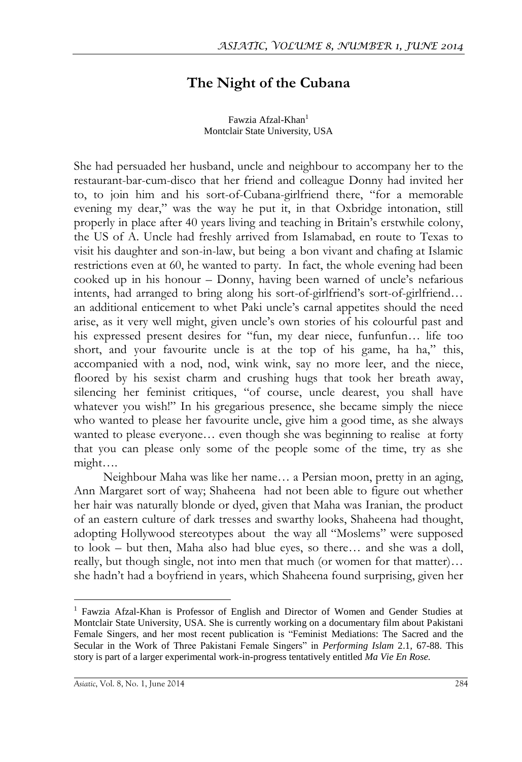## **The Night of the Cubana**

Fawzia Afzal-Khan<sup>1</sup> Montclair State University, USA

She had persuaded her husband, uncle and neighbour to accompany her to the restaurant-bar-cum-disco that her friend and colleague Donny had invited her to, to join him and his sort-of-Cubana-girlfriend there, "for a memorable evening my dear," was the way he put it, in that Oxbridge intonation, still properly in place after 40 years living and teaching in Britain's erstwhile colony, the US of A. Uncle had freshly arrived from Islamabad, en route to Texas to visit his daughter and son-in-law, but being a bon vivant and chafing at Islamic restrictions even at 60, he wanted to party. In fact, the whole evening had been cooked up in his honour – Donny, having been warned of uncle's nefarious intents, had arranged to bring along his sort-of-girlfriend's sort-of-girlfriend… an additional enticement to whet Paki uncle's carnal appetites should the need arise, as it very well might, given uncle's own stories of his colourful past and his expressed present desires for "fun, my dear niece, funfunfun… life too short, and your favourite uncle is at the top of his game, ha ha," this, accompanied with a nod, nod, wink wink, say no more leer, and the niece, floored by his sexist charm and crushing hugs that took her breath away, silencing her feminist critiques, "of course, uncle dearest, you shall have whatever you wish!" In his gregarious presence, she became simply the niece who wanted to please her favourite uncle, give him a good time, as she always wanted to please everyone… even though she was beginning to realise at forty that you can please only some of the people some of the time, try as she might….

Neighbour Maha was like her name… a Persian moon, pretty in an aging, Ann Margaret sort of way; Shaheena had not been able to figure out whether her hair was naturally blonde or dyed, given that Maha was Iranian, the product of an eastern culture of dark tresses and swarthy looks, Shaheena had thought, adopting Hollywood stereotypes about the way all "Moslems" were supposed to look – but then, Maha also had blue eyes, so there… and she was a doll, really, but though single, not into men that much (or women for that matter)… she hadn't had a boyfriend in years, which Shaheena found surprising, given her

 $\overline{a}$ 

<sup>&</sup>lt;sup>1</sup> Fawzia Afzal-Khan is Professor of English and Director of Women and Gender Studies at Montclair State University, USA. She is currently working on a documentary film about Pakistani Female Singers, and her most recent publication is "Feminist Mediations: The Sacred and the Secular in the Work of Three Pakistani Female Singers" in *Performing Islam* 2.1, 67-88. This story is part of a larger experimental work-in-progress tentatively entitled *Ma Vie En Rose.*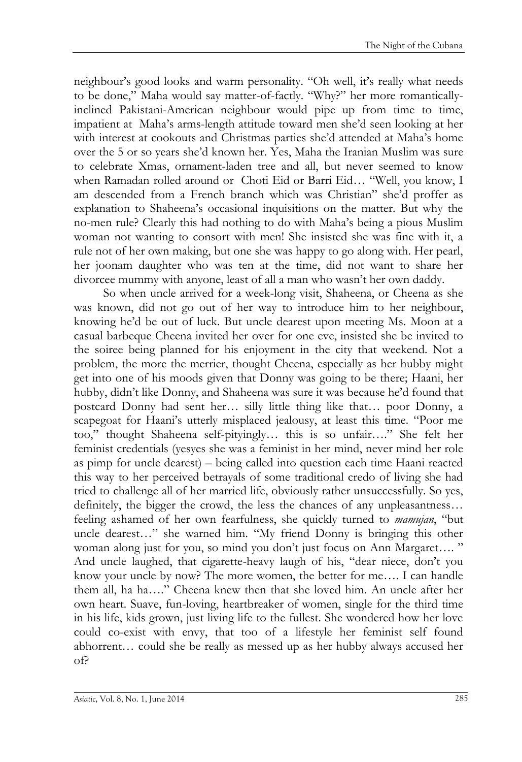neighbour's good looks and warm personality. "Oh well, it's really what needs to be done," Maha would say matter-of-factly. "Why?" her more romanticallyinclined Pakistani-American neighbour would pipe up from time to time, impatient at Maha's arms-length attitude toward men she'd seen looking at her with interest at cookouts and Christmas parties she'd attended at Maha's home over the 5 or so years she'd known her. Yes, Maha the Iranian Muslim was sure to celebrate Xmas, ornament-laden tree and all, but never seemed to know when Ramadan rolled around or Choti Eid or Barri Eid… "Well, you know, I am descended from a French branch which was Christian" she'd proffer as explanation to Shaheena's occasional inquisitions on the matter. But why the no-men rule? Clearly this had nothing to do with Maha's being a pious Muslim woman not wanting to consort with men! She insisted she was fine with it, a rule not of her own making, but one she was happy to go along with. Her pearl, her joonam daughter who was ten at the time, did not want to share her divorcee mummy with anyone, least of all a man who wasn't her own daddy.

So when uncle arrived for a week-long visit, Shaheena, or Cheena as she was known, did not go out of her way to introduce him to her neighbour, knowing he'd be out of luck. But uncle dearest upon meeting Ms. Moon at a casual barbeque Cheena invited her over for one eve, insisted she be invited to the soiree being planned for his enjoyment in the city that weekend. Not a problem, the more the merrier, thought Cheena, especially as her hubby might get into one of his moods given that Donny was going to be there; Haani, her hubby, didn't like Donny, and Shaheena was sure it was because he'd found that postcard Donny had sent her… silly little thing like that… poor Donny, a scapegoat for Haani's utterly misplaced jealousy, at least this time. "Poor me too," thought Shaheena self-pityingly… this is so unfair…." She felt her feminist credentials (yesyes she was a feminist in her mind, never mind her role as pimp for uncle dearest) – being called into question each time Haani reacted this way to her perceived betrayals of some traditional credo of living she had tried to challenge all of her married life, obviously rather unsuccessfully. So yes, definitely, the bigger the crowd, the less the chances of any unpleasantness… feeling ashamed of her own fearfulness, she quickly turned to *mamujan*, "but uncle dearest…" she warned him. "My friend Donny is bringing this other woman along just for you, so mind you don't just focus on Ann Margaret...." And uncle laughed, that cigarette-heavy laugh of his, "dear niece, don't you know your uncle by now? The more women, the better for me…. I can handle them all, ha ha…." Cheena knew then that she loved him. An uncle after her own heart. Suave, fun-loving, heartbreaker of women, single for the third time in his life, kids grown, just living life to the fullest. She wondered how her love could co-exist with envy, that too of a lifestyle her feminist self found abhorrent… could she be really as messed up as her hubby always accused her of?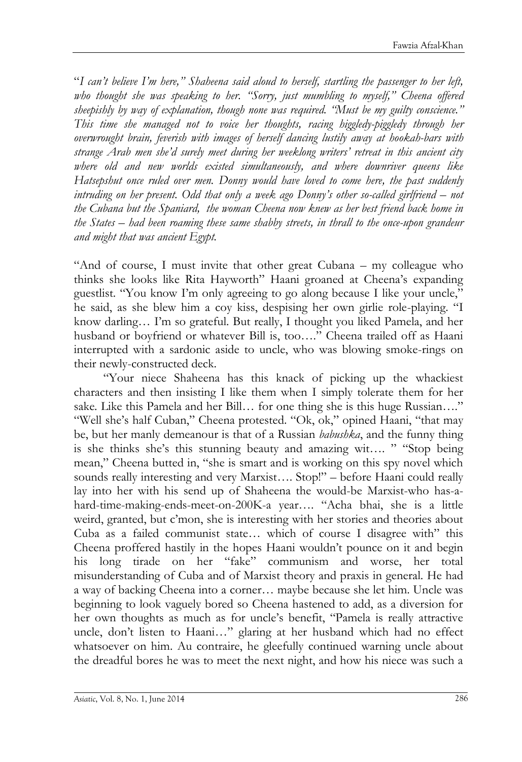"*I can't believe I'm here," Shaheena said aloud to herself, startling the passenger to her left, who thought she was speaking to her. "Sorry, just mumbling to myself," Cheena offered sheepishly by way of explanation, though none was required. "Must be my guilty conscience." This time she managed not to voice her thoughts, racing higgledy-piggledy through her overwrought brain, feverish with images of herself dancing lustily away at hookah-bars with strange Arab men she'd surely meet during her weeklong writers' retreat in this ancient city where old and new worlds existed simultaneously, and where downriver queens like Hatsepshut once ruled over men. Donny would have loved to come here, the past suddenly intruding on her present. Odd that only a week ago Donny's other so-called girlfriend – not the Cubana but the Spaniard, the woman Cheena now knew as her best friend back home in the States – had been roaming these same shabby streets, in thrall to the once-upon grandeur and might that was ancient Egypt.* 

"And of course, I must invite that other great Cubana – my colleague who thinks she looks like Rita Hayworth" Haani groaned at Cheena's expanding guestlist. "You know I'm only agreeing to go along because I like your uncle," he said, as she blew him a coy kiss, despising her own girlie role-playing. "I know darling… I'm so grateful. But really, I thought you liked Pamela, and her husband or boyfriend or whatever Bill is, too…." Cheena trailed off as Haani interrupted with a sardonic aside to uncle, who was blowing smoke-rings on their newly-constructed deck.

"Your niece Shaheena has this knack of picking up the whackiest characters and then insisting I like them when I simply tolerate them for her sake. Like this Pamela and her Bill... for one thing she is this huge Russian...." "Well she's half Cuban," Cheena protested. "Ok, ok," opined Haani, "that may be, but her manly demeanour is that of a Russian *babushka*, and the funny thing is she thinks she's this stunning beauty and amazing wit…. " "Stop being mean," Cheena butted in, "she is smart and is working on this spy novel which sounds really interesting and very Marxist.... Stop!" – before Haani could really lay into her with his send up of Shaheena the would-be Marxist-who has-ahard-time-making-ends-meet-on-200K-a year…. "Acha bhai, she is a little weird, granted, but c'mon, she is interesting with her stories and theories about Cuba as a failed communist state… which of course I disagree with" this Cheena proffered hastily in the hopes Haani wouldn't pounce on it and begin his long tirade on her "fake" communism and worse, her total misunderstanding of Cuba and of Marxist theory and praxis in general. He had a way of backing Cheena into a corner… maybe because she let him. Uncle was beginning to look vaguely bored so Cheena hastened to add, as a diversion for her own thoughts as much as for uncle's benefit, "Pamela is really attractive uncle, don't listen to Haani…" glaring at her husband which had no effect whatsoever on him. Au contraire, he gleefully continued warning uncle about the dreadful bores he was to meet the next night, and how his niece was such a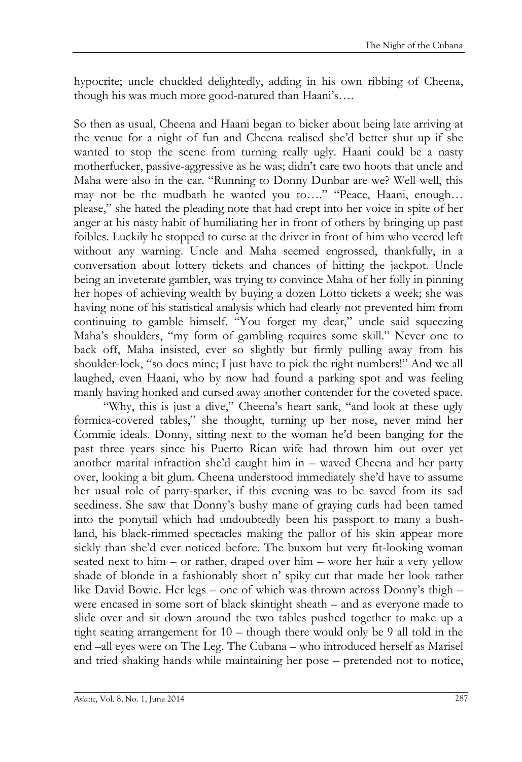hypocrite; uncle chuckled delightedly, adding in his own ribbing of Cheena, though his was much more good-natured than Haani's….

So then as usual, Cheena and Haani began to bicker about being late arriving at the venue for a night of fun and Cheena realised she'd better shut up if she wanted to stop the scene from turning really ugly. Haani could be a nasty motherfucker, passive-aggressive as he was; didn't care two hoots that uncle and Maha were also in the car. "Running to Donny Dunbar are we? Well well, this may not be the mudbath he wanted you to…." "Peace, Haani, enough… please," she hated the pleading note that had crept into her voice in spite of her anger at his nasty habit of humiliating her in front of others by bringing up past foibles. Luckily he stopped to curse at the driver in front of him who veered left without any warning. Uncle and Maha seemed engrossed, thankfully, in a conversation about lottery tickets and chances of hitting the jackpot. Uncle being an inveterate gambler, was trying to convince Maha of her folly in pinning her hopes of achieving wealth by buying a dozen Lotto tickets a week; she was having none of his statistical analysis which had clearly not prevented him from continuing to gamble himself. "You forget my dear," uncle said squeezing Maha's shoulders, "my form of gambling requires some skill." Never one to back off, Maha insisted, ever so slightly but firmly pulling away from his shoulder-lock, "so does mine; I just have to pick the right numbers!" And we all laughed, even Haani, who by now had found a parking spot and was feeling manly having honked and cursed away another contender for the coveted space.

"Why, this is just a dive," Cheena's heart sank, "and look at these ugly formica-covered tables," she thought, turning up her nose, never mind her Commie ideals. Donny, sitting next to the woman he'd been banging for the past three years since his Puerto Rican wife had thrown him out over yet another marital infraction she'd caught him in – waved Cheena and her party over, looking a bit glum. Cheena understood immediately she'd have to assume her usual role of party-sparker, if this evening was to be saved from its sad seediness. She saw that Donny's bushy mane of graying curls had been tamed into the ponytail which had undoubtedly been his passport to many a bushland, his black-rimmed spectacles making the pallor of his skin appear more sickly than she'd ever noticed before. The buxom but very fit-looking woman seated next to him – or rather, draped over him – wore her hair a very yellow shade of blonde in a fashionably short n' spiky cut that made her look rather like David Bowie. Her legs – one of which was thrown across Donny's thigh – were encased in some sort of black skintight sheath – and as everyone made to slide over and sit down around the two tables pushed together to make up a tight seating arrangement for 10 – though there would only be 9 all told in the end –all eyes were on The Leg. The Cubana – who introduced herself as Marisel and tried shaking hands while maintaining her pose – pretended not to notice,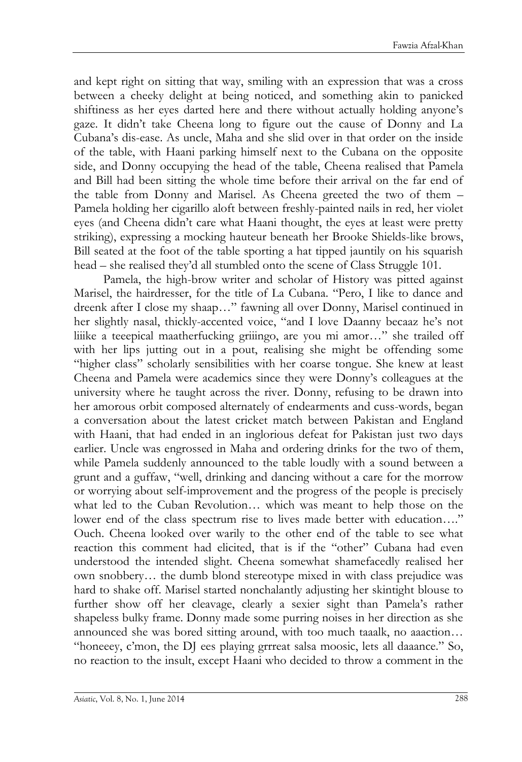and kept right on sitting that way, smiling with an expression that was a cross between a cheeky delight at being noticed, and something akin to panicked shiftiness as her eyes darted here and there without actually holding anyone's gaze. It didn't take Cheena long to figure out the cause of Donny and La Cubana's dis-ease. As uncle, Maha and she slid over in that order on the inside of the table, with Haani parking himself next to the Cubana on the opposite side, and Donny occupying the head of the table, Cheena realised that Pamela and Bill had been sitting the whole time before their arrival on the far end of the table from Donny and Marisel. As Cheena greeted the two of them – Pamela holding her cigarillo aloft between freshly-painted nails in red, her violet eyes (and Cheena didn't care what Haani thought, the eyes at least were pretty striking), expressing a mocking hauteur beneath her Brooke Shields-like brows, Bill seated at the foot of the table sporting a hat tipped jauntily on his squarish head – she realised they'd all stumbled onto the scene of Class Struggle 101.

Pamela, the high-brow writer and scholar of History was pitted against Marisel, the hairdresser, for the title of La Cubana. "Pero, I like to dance and dreenk after I close my shaap…" fawning all over Donny, Marisel continued in her slightly nasal, thickly-accented voice, "and I love Daanny becaaz he's not liiike a teeepical maatherfucking griiingo, are you mi amor…" she trailed off with her lips jutting out in a pout, realising she might be offending some "higher class" scholarly sensibilities with her coarse tongue. She knew at least Cheena and Pamela were academics since they were Donny's colleagues at the university where he taught across the river. Donny, refusing to be drawn into her amorous orbit composed alternately of endearments and cuss-words, began a conversation about the latest cricket match between Pakistan and England with Haani, that had ended in an inglorious defeat for Pakistan just two days earlier. Uncle was engrossed in Maha and ordering drinks for the two of them, while Pamela suddenly announced to the table loudly with a sound between a grunt and a guffaw, "well, drinking and dancing without a care for the morrow or worrying about self-improvement and the progress of the people is precisely what led to the Cuban Revolution… which was meant to help those on the lower end of the class spectrum rise to lives made better with education…." Ouch. Cheena looked over warily to the other end of the table to see what reaction this comment had elicited, that is if the "other" Cubana had even understood the intended slight. Cheena somewhat shamefacedly realised her own snobbery… the dumb blond stereotype mixed in with class prejudice was hard to shake off. Marisel started nonchalantly adjusting her skintight blouse to further show off her cleavage, clearly a sexier sight than Pamela's rather shapeless bulky frame. Donny made some purring noises in her direction as she announced she was bored sitting around, with too much taaalk, no aaaction… "honeeey, c'mon, the DJ ees playing grrreat salsa moosic, lets all daaance." So, no reaction to the insult, except Haani who decided to throw a comment in the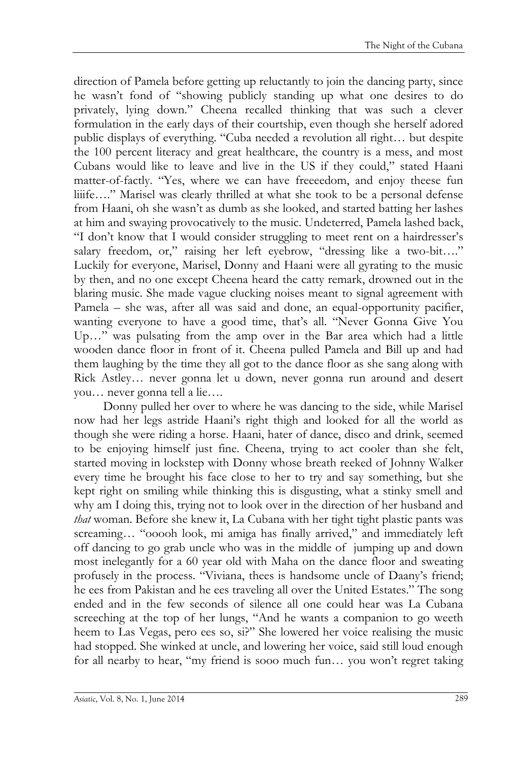direction of Pamela before getting up reluctantly to join the dancing party, since he wasn't fond of "showing publicly standing up what one desires to do privately, lying down." Cheena recalled thinking that was such a clever formulation in the early days of their courtship, even though she herself adored public displays of everything. "Cuba needed a revolution all right… but despite the 100 percent literacy and great healthcare, the country is a mess, and most Cubans would like to leave and live in the US if they could," stated Haani matter-of-factly. "Yes, where we can have freeeedom, and enjoy theese fun liiife…." Marisel was clearly thrilled at what she took to be a personal defense from Haani, oh she wasn't as dumb as she looked, and started batting her lashes at him and swaying provocatively to the music. Undeterred, Pamela lashed back, "I don't know that I would consider struggling to meet rent on a hairdresser's salary freedom, or," raising her left eyebrow, "dressing like a two-bit…." Luckily for everyone, Marisel, Donny and Haani were all gyrating to the music by then, and no one except Cheena heard the catty remark, drowned out in the blaring music. She made vague clucking noises meant to signal agreement with Pamela – she was, after all was said and done, an equal-opportunity pacifier, wanting everyone to have a good time, that's all. "Never Gonna Give You Up…" was pulsating from the amp over in the Bar area which had a little wooden dance floor in front of it. Cheena pulled Pamela and Bill up and had them laughing by the time they all got to the dance floor as she sang along with Rick Astley… never gonna let u down, never gonna run around and desert you… never gonna tell a lie….

Donny pulled her over to where he was dancing to the side, while Marisel now had her legs astride Haani's right thigh and looked for all the world as though she were riding a horse. Haani, hater of dance, disco and drink, seemed to be enjoying himself just fine. Cheena, trying to act cooler than she felt, started moving in lockstep with Donny whose breath reeked of Johnny Walker every time he brought his face close to her to try and say something, but she kept right on smiling while thinking this is disgusting, what a stinky smell and why am I doing this, trying not to look over in the direction of her husband and *that* woman. Before she knew it, La Cubana with her tight tight plastic pants was screaming… "ooooh look, mi amiga has finally arrived," and immediately left off dancing to go grab uncle who was in the middle of jumping up and down most inelegantly for a 60 year old with Maha on the dance floor and sweating profusely in the process. "Viviana, thees is handsome uncle of Daany's friend; he ees from Pakistan and he ees traveling all over the United Estates." The song ended and in the few seconds of silence all one could hear was La Cubana screeching at the top of her lungs, "And he wants a companion to go weeth heem to Las Vegas, pero ees so, si?" She lowered her voice realising the music had stopped. She winked at uncle, and lowering her voice, said still loud enough for all nearby to hear, "my friend is sooo much fun… you won't regret taking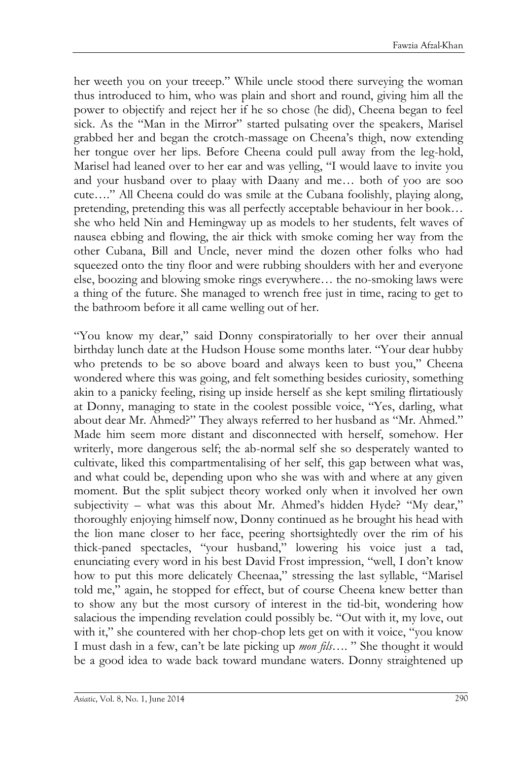her weeth you on your treeep." While uncle stood there surveying the woman thus introduced to him, who was plain and short and round, giving him all the power to objectify and reject her if he so chose (he did), Cheena began to feel sick. As the "Man in the Mirror" started pulsating over the speakers, Marisel grabbed her and began the crotch-massage on Cheena's thigh, now extending her tongue over her lips. Before Cheena could pull away from the leg-hold, Marisel had leaned over to her ear and was yelling, "I would laave to invite you and your husband over to plaay with Daany and me… both of yoo are soo cute…." All Cheena could do was smile at the Cubana foolishly, playing along, pretending, pretending this was all perfectly acceptable behaviour in her book… she who held Nin and Hemingway up as models to her students, felt waves of nausea ebbing and flowing, the air thick with smoke coming her way from the other Cubana, Bill and Uncle, never mind the dozen other folks who had squeezed onto the tiny floor and were rubbing shoulders with her and everyone else, boozing and blowing smoke rings everywhere… the no-smoking laws were a thing of the future. She managed to wrench free just in time, racing to get to the bathroom before it all came welling out of her.

"You know my dear," said Donny conspiratorially to her over their annual birthday lunch date at the Hudson House some months later. "Your dear hubby who pretends to be so above board and always keen to bust you," Cheena wondered where this was going, and felt something besides curiosity, something akin to a panicky feeling, rising up inside herself as she kept smiling flirtatiously at Donny, managing to state in the coolest possible voice, "Yes, darling, what about dear Mr. Ahmed?" They always referred to her husband as "Mr. Ahmed." Made him seem more distant and disconnected with herself, somehow. Her writerly, more dangerous self; the ab-normal self she so desperately wanted to cultivate, liked this compartmentalising of her self, this gap between what was, and what could be, depending upon who she was with and where at any given moment. But the split subject theory worked only when it involved her own subjectivity – what was this about Mr. Ahmed's hidden Hyde? "My dear," thoroughly enjoying himself now, Donny continued as he brought his head with the lion mane closer to her face, peering shortsightedly over the rim of his thick-paned spectacles, "your husband," lowering his voice just a tad, enunciating every word in his best David Frost impression, "well, I don't know how to put this more delicately Cheenaa," stressing the last syllable, "Marisel told me," again, he stopped for effect, but of course Cheena knew better than to show any but the most cursory of interest in the tid-bit, wondering how salacious the impending revelation could possibly be. "Out with it, my love, out with it," she countered with her chop-chop lets get on with it voice, "you know I must dash in a few, can't be late picking up *mon fils*…. " She thought it would be a good idea to wade back toward mundane waters. Donny straightened up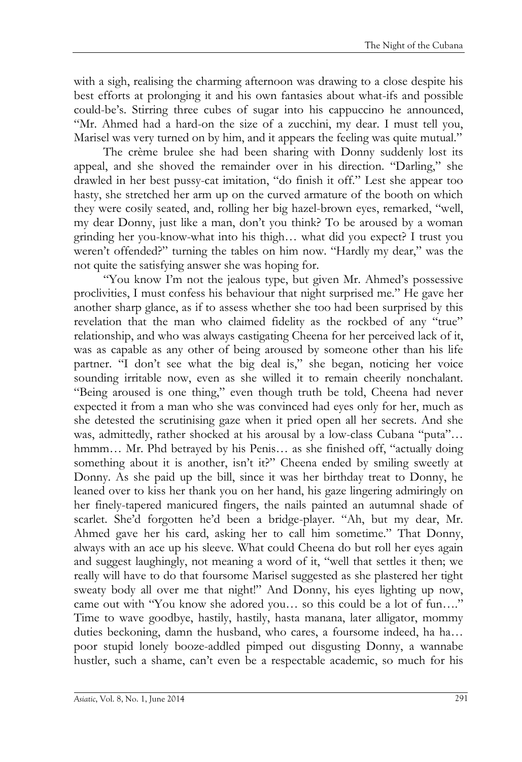with a sigh, realising the charming afternoon was drawing to a close despite his best efforts at prolonging it and his own fantasies about what-ifs and possible could-be's. Stirring three cubes of sugar into his cappuccino he announced, "Mr. Ahmed had a hard-on the size of a zucchini, my dear. I must tell you, Marisel was very turned on by him, and it appears the feeling was quite mutual."

The crème brulee she had been sharing with Donny suddenly lost its appeal, and she shoved the remainder over in his direction. "Darling," she drawled in her best pussy-cat imitation, "do finish it off." Lest she appear too hasty, she stretched her arm up on the curved armature of the booth on which they were cosily seated, and, rolling her big hazel-brown eyes, remarked, "well, my dear Donny, just like a man, don't you think? To be aroused by a woman grinding her you-know-what into his thigh… what did you expect? I trust you weren't offended?" turning the tables on him now. "Hardly my dear," was the not quite the satisfying answer she was hoping for.

"You know I'm not the jealous type, but given Mr. Ahmed's possessive proclivities, I must confess his behaviour that night surprised me." He gave her another sharp glance, as if to assess whether she too had been surprised by this revelation that the man who claimed fidelity as the rockbed of any "true" relationship, and who was always castigating Cheena for her perceived lack of it, was as capable as any other of being aroused by someone other than his life partner. "I don't see what the big deal is," she began, noticing her voice sounding irritable now, even as she willed it to remain cheerily nonchalant. "Being aroused is one thing," even though truth be told, Cheena had never expected it from a man who she was convinced had eyes only for her, much as she detested the scrutinising gaze when it pried open all her secrets. And she was, admittedly, rather shocked at his arousal by a low-class Cubana "puta"… hmmm… Mr. Phd betrayed by his Penis… as she finished off, "actually doing something about it is another, isn't it?" Cheena ended by smiling sweetly at Donny. As she paid up the bill, since it was her birthday treat to Donny, he leaned over to kiss her thank you on her hand, his gaze lingering admiringly on her finely-tapered manicured fingers, the nails painted an autumnal shade of scarlet. She'd forgotten he'd been a bridge-player. "Ah, but my dear, Mr. Ahmed gave her his card, asking her to call him sometime." That Donny, always with an ace up his sleeve. What could Cheena do but roll her eyes again and suggest laughingly, not meaning a word of it, "well that settles it then; we really will have to do that foursome Marisel suggested as she plastered her tight sweaty body all over me that night!" And Donny, his eyes lighting up now, came out with "You know she adored you… so this could be a lot of fun…." Time to wave goodbye, hastily, hastily, hasta manana, later alligator, mommy duties beckoning, damn the husband, who cares, a foursome indeed, ha ha… poor stupid lonely booze-addled pimped out disgusting Donny, a wannabe hustler, such a shame, can't even be a respectable academic, so much for his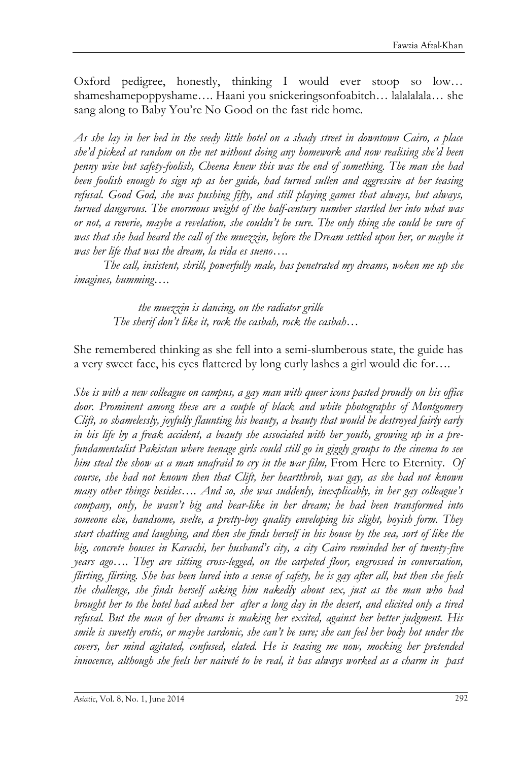Oxford pedigree, honestly, thinking I would ever stoop so low… shameshamepoppyshame…. Haani you snickeringsonfoabitch… lalalalala… she sang along to Baby You're No Good on the fast ride home.

*As she lay in her bed in the seedy little hotel on a shady street in downtown Cairo, a place she'd picked at random on the net without doing any homework and now realising she'd been penny wise but safety-foolish, Cheena knew this was the end of something. The man she had been foolish enough to sign up as her guide, had turned sullen and aggressive at her teasing refusal. Good God, she was pushing fifty, and still playing games that always, but always, turned dangerous. The enormous weight of the half-century number startled her into what was or not, a reverie, maybe a revelation, she couldn't be sure. The only thing she could be sure of was that she had heard the call of the muezzin, before the Dream settled upon her, or maybe it was her life that was the dream, la vida es sueno….*

*The call, insistent, shrill, powerfully male, has penetrated my dreams, woken me up she imagines, humming*….

 *the muezzin is dancing, on the radiator grille The sherif don't like it, rock the casbah, rock the casbah…*

She remembered thinking as she fell into a semi-slumberous state, the guide has a very sweet face, his eyes flattered by long curly lashes a girl would die for….

*She is with a new colleague on campus, a gay man with queer icons pasted proudly on his office door. Prominent among these are a couple of black and white photographs of Montgomery Clift, so shamelessly, joyfully flaunting his beauty, a beauty that would be destroyed fairly early in his life by a freak accident, a beauty she associated with her youth, growing up in a prefundamentalist Pakistan where teenage girls could still go in giggly groups to the cinema to see him steal the show as a man unafraid to cry in the war film,* From Here to Eternity*. Of course, she had not known then that Clift, her heartthrob, was gay, as she had not known many other things besides…. And so, she was suddenly, inexplicably, in her gay colleague's company, only, he wasn't big and bear-like in her dream; he had been transformed into someone else, handsome, svelte, a pretty-boy quality enveloping his slight, boyish form. They start chatting and laughing, and then she finds herself in his house by the sea, sort of like the big, concrete houses in Karachi, her husband's city, a city Cairo reminded her of twenty-five years ago…. They are sitting cross-legged, on the carpeted floor, engrossed in conversation, flirting, flirting. She has been lured into a sense of safety, he is gay after all, but then she feels the challenge, she finds herself asking him nakedly about sex, just as the man who had brought her to the hotel had asked her after a long day in the desert, and elicited only a tired refusal. But the man of her dreams is making her excited, against her better judgment. His smile is sweetly erotic, or maybe sardonic, she can't be sure; she can feel her body hot under the covers, her mind agitated, confused, elated. He is teasing me now, mocking her pretended innocence, although she feels her naiveté to be real, it has always worked as a charm in past*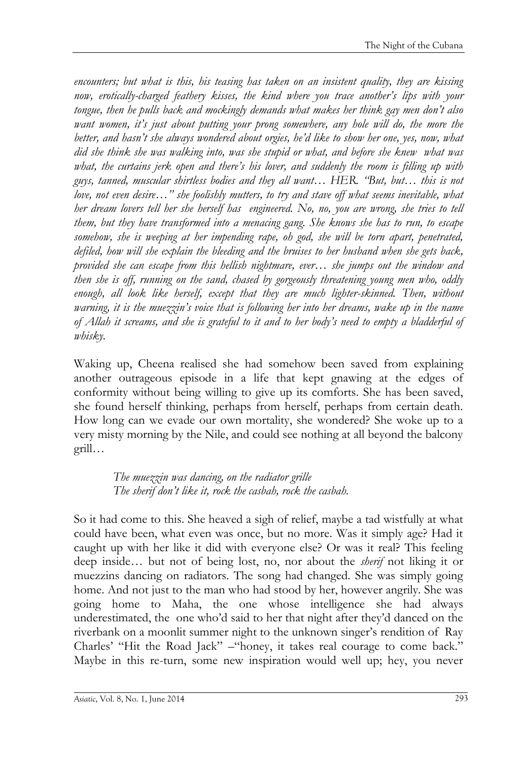*encounters; but what is this, his teasing has taken on an insistent quality, they are kissing now, erotically-charged feathery kisses, the kind where you trace another's lips with your tongue, then he pulls back and mockingly demands what makes her think gay men don't also want women, it's just about putting your prong somewhere, any hole will do, the more the better, and hasn't she always wondered about orgies, he'd like to show her one, yes, now, what did she think she was walking into, was she stupid or what, and before she knew what was*  what, the curtains jerk open and there's his lover, and suddenly the room is filling up with *guys, tanned, muscular shirtless bodies and they all want… HER. "But, but… this is not love, not even desire…" she foolishly mutters, to try and stave off what seems inevitable, what her dream lovers tell her she herself has engineered. No, no, you are wrong, she tries to tell them, but they have transformed into a menacing gang. She knows she has to run, to escape somehow, she is weeping at her impending rape, oh god, she will be torn apart, penetrated, defiled, how will she explain the bleeding and the bruises to her husband when she gets back, provided she can escape from this hellish nightmare, ever… she jumps out the window and then she is off, running on the sand, chased by gorgeously threatening young men who, oddly*  enough, all look like herself, except that they are much lighter-skinned. Then, without *warning, it is the muezzin's voice that is following her into her dreams, wake up in the name of Allah it screams, and she is grateful to it and to her body's need to empty a bladderful of whisky.* 

Waking up, Cheena realised she had somehow been saved from explaining another outrageous episode in a life that kept gnawing at the edges of conformity without being willing to give up its comforts. She has been saved, she found herself thinking, perhaps from herself, perhaps from certain death. How long can we evade our own mortality, she wondered? She woke up to a very misty morning by the Nile, and could see nothing at all beyond the balcony grill…

> *The muezzin was dancing, on the radiator grille The sherif don't like it, rock the casbah, rock the casbah.*

So it had come to this. She heaved a sigh of relief, maybe a tad wistfully at what could have been, what even was once, but no more. Was it simply age? Had it caught up with her like it did with everyone else? Or was it real? This feeling deep inside… but not of being lost, no, nor about the *sherif* not liking it or muezzins dancing on radiators. The song had changed. She was simply going home. And not just to the man who had stood by her, however angrily. She was going home to Maha, the one whose intelligence she had always underestimated, the one who'd said to her that night after they'd danced on the riverbank on a moonlit summer night to the unknown singer's rendition of Ray Charles' "Hit the Road Jack" –"honey, it takes real courage to come back." Maybe in this re-turn, some new inspiration would well up; hey, you never